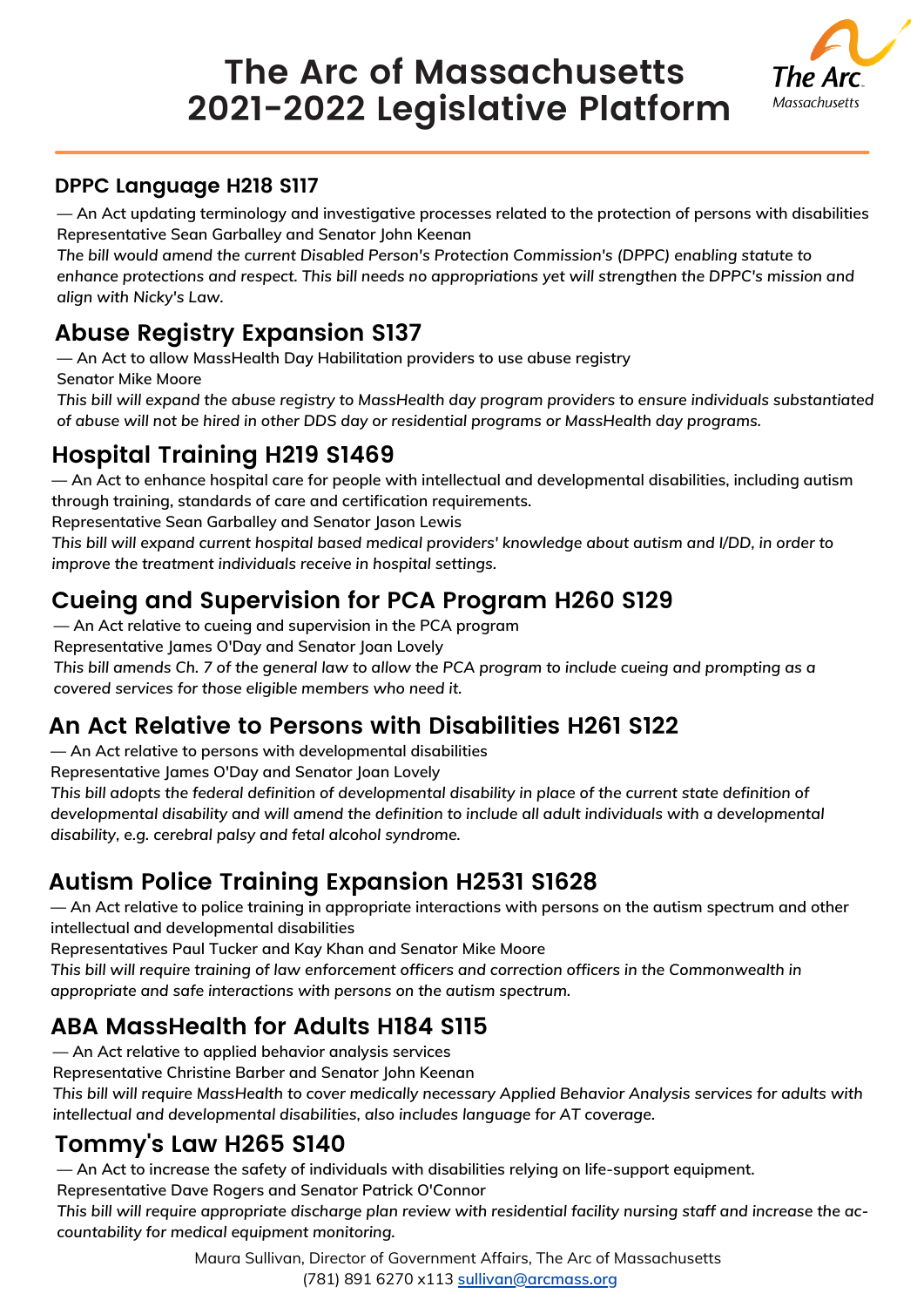# **The Arc of Massachusetts 2021-2022 Legislative Platform**



#### **DPPC Language H218 S117**

**— An Act updating terminology and investigative processes related to the protection of persons with disabilities Representative Sean Garballey and Senator John Keenan**

*The bill would amend the current Disabled Person's Protection Commission's (DPPC) enabling statute to enhance protections and respect. This bill needs no appropriations yet will strengthen the DPPC's mission and align with Nicky's Law.*

#### **Abuse Registry Expansion S137**

**— An Act to allow MassHealth Day Habilitation providers to use abuse registry**

**Senator Mike Moore**

*This bill will expand the abuse registry to MassHealth day program providers to ensure individuals substantiated of abuse will not be hired in other DDS day or residential programs or MassHealth day programs.*

### **Hospital Training H219 S1469**

**— An Act to enhance hospital care for people with intellectual and developmental disabilities, including autism through training, standards of care and certification requirements.**

**Representative Sean Garballey and Senator Jason Lewis**

This bill will expand current hospital based medical providers' knowledge about autism and I/DD, in order to *improve the treatment individuals receive in hospital settings.*

### **Cueing and Supervision for PCA Program H260 S129**

**— An Act relative to cueing and supervision in the PCA program**

**Representative James O'Day and Senator Joan Lovely**

This bill amends Ch. 7 of the general law to allow the PCA program to include cueing and prompting as a *covered services for those eligible members who need it.*

### **An Act Relative to Persons with Disabilities H261 S122**

**— An Act relative to persons with developmental disabilities**

**Representative James O'Day and Senator Joan Lovely**

This bill adopts the federal definition of developmental disability in place of the current state definition of *developmental disability and will amend the definition to include all adult individuals with a developmental disability, e.g. cerebral palsy and fetal alcohol syndrome.*

### **Autism Police Training Expansion H2531 S1628**

- An Act relative to police training in appropriate interactions with persons on the autism spectrum and other **intellectual and developmental disabilities**

**Representatives Paul Tucker and Kay Khan and Senator Mike Moore**

*This bill will require training of law enforcement officers and correction officers in the Commonwealth in appropriate and safe interactions with persons on the autism spectrum.*

### **ABA MassHealth for Adults H184 S115**

**— An Act relative to applied behavior analysis services**

**Representative Christine Barber and Senator John Keenan**

This bill will require MassHealth to cover medically necessary Applied Behavior Analysis services for adults with *intellectual and developmental disabilities, also includes language for AT coverage.*

#### **Tommy's Law H265 S140**

**— An Act to increase the safety of individuals with disabilities relying on life-support equipment. Representative Dave Rogers and Senator Patrick O'Connor**

This bill will require appropriate discharge plan review with residential facility nursing staff and increase the ac*countability for medical equipment monitoring.*

> Maura Sullivan, Director of Government Affairs, The Arc of Massachusetts (781) 891 6270 x113 **[sullivan@arcmass.org](mailto:sullivan@arcmass.org)**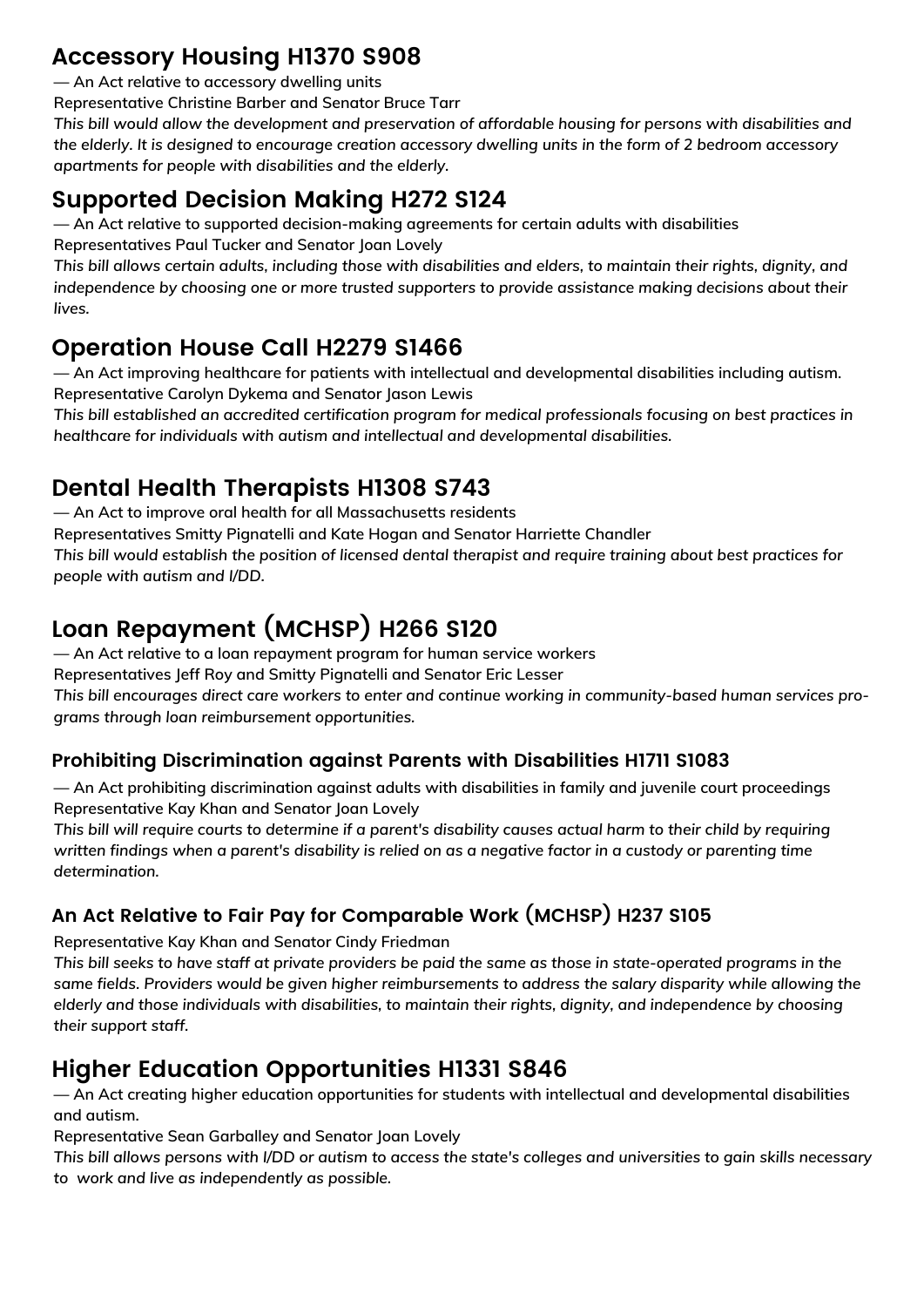#### **Accessory Housing H1370 S908**

**— An Act relative to accessory dwelling units**

**Representative Christine Barber and Senator Bruce Tarr**

*This bill would allow the development and preservation of affordable housing for persons with disabilities and* the elderly. It is designed to encourage creation accessory dwelling units in the form of 2 bedroom accessory *apartments for people with disabilities and the elderly.*

### **Supported Decision Making H272 S124**

**— An Act relative to supported decision-making agreements for certain adults with disabilities Representatives Paul Tucker and Senator Joan Lovely**

This bill allows certain adults, including those with disabilities and elders, to maintain their rights, dignity, and *independence by choosing one or more trusted supporters to provide assistance making decisions about their lives.*

#### **Operation House Call H2279 S1466**

**— An Act improving healthcare for patients with intellectual and developmental disabilities including autism. Representative Carolyn Dykema and Senator Jason Lewis**

*This bill established an accredited certification program for medical professionals focusing on best practices in healthcare for individuals with autism and intellectual and developmental disabilities.*

### **Dental Health Therapists H1308 S743**

**— An Act to improve oral health for all Massachusetts residents**

**Representatives Smitty Pignatelli and Kate Hogan and Senator Harriette Chandler**

This bill would establish the position of licensed dental therapist and require training about best practices for *people with autism and I/DD.*

## **Loan Repayment (MCHSP) H266 S120**

**— An Act relative to a loan repayment program for human service workers**

**Representatives Jeff Roy and Smitty Pignatelli and Senator Eric Lesser**

*This bill encourages direct care workers to enter and continue working in community-based human services programs through loan reimbursement opportunities.*

#### **Prohibiting Discrimination against Parents with Disabilities H1711 S1083**

**— An Act prohibiting discrimination against adults with disabilities in family and juvenile court proceedings Representative Kay Khan and Senator Joan Lovely**

This bill will require courts to determine if a parent's disability causes actual harm to their child by requiring written findings when a parent's disability is relied on as a negative factor in a custody or parenting time *determination.*

#### **An Act Relative to Fair Pay for Comparable Work (MCHSP) H237 S105**

**Representative Kay Khan and Senator Cindy Friedman**

This bill seeks to have staff at private providers be paid the same as those in state-operated programs in the *same fields. Providers would be given higher reimbursements to address the salary disparity while allowing the elderly and those individuals with disabilities, to maintain their rights, dignity, and independence by choosing their support staff.*

### **Higher Education Opportunities H1331 S846**

**— An Act creating higher education opportunities for students with intellectual and developmental disabilities and autism.**

**Representative Sean Garballey and Senator Joan Lovely**

This bill allows persons with I/DD or autism to access the state's colleges and universities to gain skills necessary *to work and live as independently as possible.*